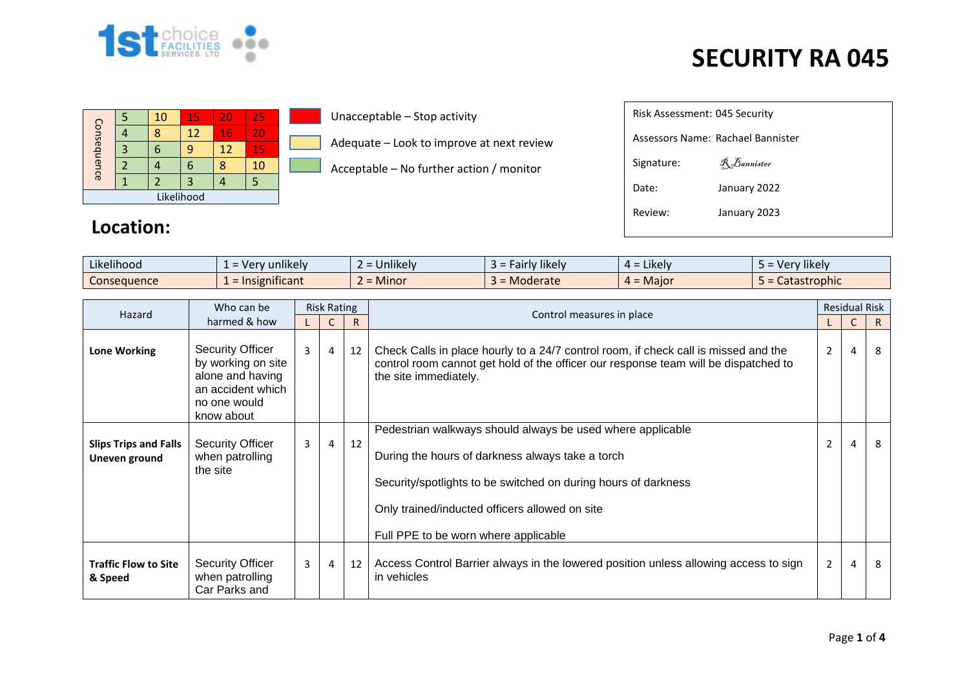

|             |  | 10 | 15 | 20                | 25 |  |  |  |  |  |
|-------------|--|----|----|-------------------|----|--|--|--|--|--|
| Consequence |  |    | 12 | 16                | 20 |  |  |  |  |  |
|             |  |    | q  | $12 \overline{ }$ | 15 |  |  |  |  |  |
|             |  |    | 6  |                   | 10 |  |  |  |  |  |
|             |  |    | 3  |                   |    |  |  |  |  |  |
| Likelihood  |  |    |    |                   |    |  |  |  |  |  |

Unacceptable – Stop activity

Adequate – Look to improve at next review

Acceptable – No further action / monitor

| Risk Assessment: 045 Security     |                    |  |  |  |  |  |  |  |  |
|-----------------------------------|--------------------|--|--|--|--|--|--|--|--|
| Assessors Name: Rachael Bannister |                    |  |  |  |  |  |  |  |  |
| Signature:                        | <b>R</b> Bannister |  |  |  |  |  |  |  |  |
| Date:                             | January 2022       |  |  |  |  |  |  |  |  |
| Review:                           | January 2023       |  |  |  |  |  |  |  |  |
|                                   |                    |  |  |  |  |  |  |  |  |

#### **Location:**

| $\cdots$<br>$\cdots$<br>Likelihood | $\blacksquare$<br>unlikely<br>$V^{\rho}$<br>$\overline{\phantom{0}}$ | $\cdots$<br><b>Jnlikely</b> | .<br>Fairly likely<br>- - | $\cdot$ $\cdot$ $\cdot$<br>$=$ Likely<br><del>…</del> - | $\cdots$<br>Very likely |
|------------------------------------|----------------------------------------------------------------------|-----------------------------|---------------------------|---------------------------------------------------------|-------------------------|
| Consequence                        | .<br>nsignificant<br>$=$ Ir                                          | $\sim$<br><b>Minor</b>      | Moderate                  | $4 =$ Maior                                             | astrophic :<br>Latasti  |

| Who can be<br>Hazard                          |                                                                                                                      | <b>Risk Rating</b> |                |    |                                                                                                                                                                                                                                                                            |                | <b>Residual Risk</b> |    |
|-----------------------------------------------|----------------------------------------------------------------------------------------------------------------------|--------------------|----------------|----|----------------------------------------------------------------------------------------------------------------------------------------------------------------------------------------------------------------------------------------------------------------------------|----------------|----------------------|----|
|                                               | harmed & how                                                                                                         |                    |                | R  | Control measures in place                                                                                                                                                                                                                                                  |                |                      | R. |
| <b>Lone Working</b>                           | <b>Security Officer</b><br>by working on site<br>alone and having<br>an accident which<br>no one would<br>know about | $\overline{3}$     | $\overline{4}$ | 12 | Check Calls in place hourly to a 24/7 control room, if check call is missed and the<br>control room cannot get hold of the officer our response team will be dispatched to<br>the site immediately.                                                                        | $\mathbf{2}$   | $\overline{4}$       | 8  |
| <b>Slips Trips and Falls</b><br>Uneven ground | <b>Security Officer</b><br>when patrolling<br>the site                                                               | 3                  | 4              | 12 | Pedestrian walkways should always be used where applicable<br>During the hours of darkness always take a torch<br>Security/spotlights to be switched on during hours of darkness<br>Only trained/inducted officers allowed on site<br>Full PPE to be worn where applicable | $\overline{2}$ | $\overline{4}$       | 8  |
| <b>Traffic Flow to Site</b><br>& Speed        | <b>Security Officer</b><br>when patrolling<br>Car Parks and                                                          | 3                  | 4              | 12 | Access Control Barrier always in the lowered position unless allowing access to sign<br>in vehicles                                                                                                                                                                        | $\overline{2}$ | 4                    | 8  |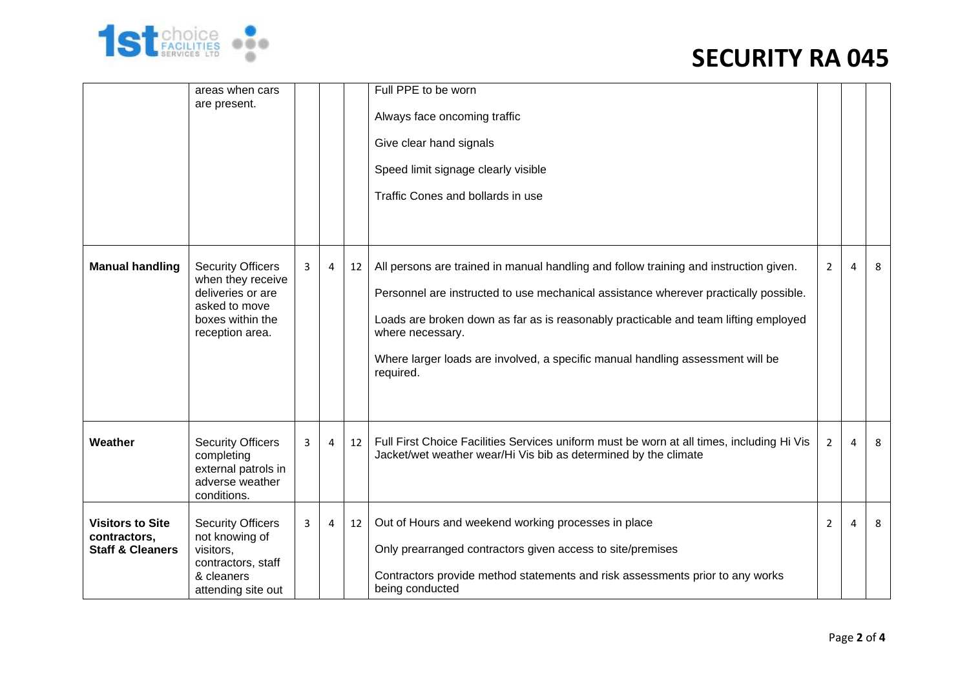

|                                                                        | areas when cars<br>are present.                                                                                            |   |   |    | Full PPE to be worn<br>Always face oncoming traffic<br>Give clear hand signals<br>Speed limit signage clearly visible<br>Traffic Cones and bollards in use                                                                                                                                                                                                                              |                |   |   |
|------------------------------------------------------------------------|----------------------------------------------------------------------------------------------------------------------------|---|---|----|-----------------------------------------------------------------------------------------------------------------------------------------------------------------------------------------------------------------------------------------------------------------------------------------------------------------------------------------------------------------------------------------|----------------|---|---|
| <b>Manual handling</b>                                                 | <b>Security Officers</b><br>when they receive<br>deliveries or are<br>asked to move<br>boxes within the<br>reception area. | 3 | 4 | 12 | All persons are trained in manual handling and follow training and instruction given.<br>Personnel are instructed to use mechanical assistance wherever practically possible.<br>Loads are broken down as far as is reasonably practicable and team lifting employed<br>where necessary.<br>Where larger loads are involved, a specific manual handling assessment will be<br>required. | $\overline{2}$ | 4 | 8 |
| Weather                                                                | <b>Security Officers</b><br>completing<br>external patrols in<br>adverse weather<br>conditions.                            | 3 | 4 | 12 | Full First Choice Facilities Services uniform must be worn at all times, including Hi Vis<br>Jacket/wet weather wear/Hi Vis bib as determined by the climate                                                                                                                                                                                                                            | $\overline{2}$ | 4 | 8 |
| <b>Visitors to Site</b><br>contractors,<br><b>Staff &amp; Cleaners</b> | <b>Security Officers</b><br>not knowing of<br>visitors,<br>contractors, staff<br>& cleaners<br>attending site out          | 3 | 4 | 12 | Out of Hours and weekend working processes in place<br>Only prearranged contractors given access to site/premises<br>Contractors provide method statements and risk assessments prior to any works<br>being conducted                                                                                                                                                                   | $\overline{2}$ | 4 | 8 |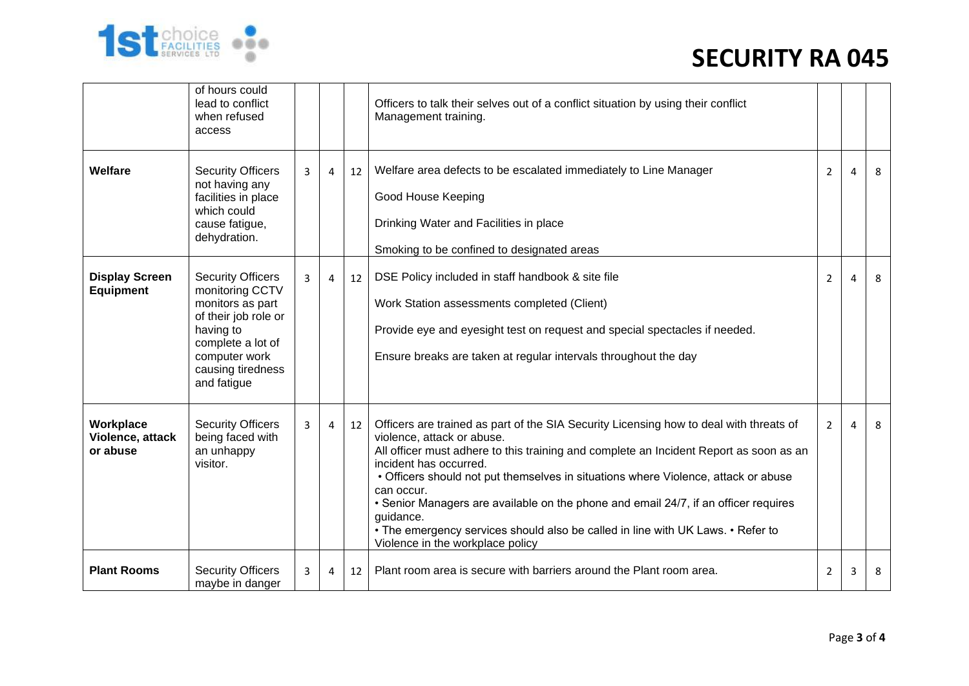

|                                           | of hours could<br>lead to conflict<br>when refused<br>access                                                                                                                   |   |   |    | Officers to talk their selves out of a conflict situation by using their conflict<br>Management training.                                                                                                                                                                                                                                                                                                                                                                                                                                                               |                |                |   |
|-------------------------------------------|--------------------------------------------------------------------------------------------------------------------------------------------------------------------------------|---|---|----|-------------------------------------------------------------------------------------------------------------------------------------------------------------------------------------------------------------------------------------------------------------------------------------------------------------------------------------------------------------------------------------------------------------------------------------------------------------------------------------------------------------------------------------------------------------------------|----------------|----------------|---|
| <b>Welfare</b>                            | <b>Security Officers</b><br>not having any<br>facilities in place<br>which could<br>cause fatigue,<br>dehydration.                                                             | 3 | 4 | 12 | Welfare area defects to be escalated immediately to Line Manager<br>Good House Keeping<br>Drinking Water and Facilities in place<br>Smoking to be confined to designated areas                                                                                                                                                                                                                                                                                                                                                                                          | $\overline{2}$ | 4              | 8 |
| <b>Display Screen</b><br><b>Equipment</b> | <b>Security Officers</b><br>monitoring CCTV<br>monitors as part<br>of their job role or<br>having to<br>complete a lot of<br>computer work<br>causing tiredness<br>and fatigue | 3 | 4 | 12 | DSE Policy included in staff handbook & site file<br>Work Station assessments completed (Client)<br>Provide eye and eyesight test on request and special spectacles if needed.<br>Ensure breaks are taken at regular intervals throughout the day                                                                                                                                                                                                                                                                                                                       | 2              | 4              | 8 |
| Workplace<br>Violence, attack<br>or abuse | <b>Security Officers</b><br>being faced with<br>an unhappy<br>visitor.                                                                                                         | 3 | 4 | 12 | Officers are trained as part of the SIA Security Licensing how to deal with threats of<br>violence, attack or abuse.<br>All officer must adhere to this training and complete an Incident Report as soon as an<br>incident has occurred.<br>• Officers should not put themselves in situations where Violence, attack or abuse<br>can occur.<br>• Senior Managers are available on the phone and email 24/7, if an officer requires<br>guidance.<br>• The emergency services should also be called in line with UK Laws. • Refer to<br>Violence in the workplace policy | $\overline{2}$ | $\overline{a}$ | 8 |
| <b>Plant Rooms</b>                        | <b>Security Officers</b><br>maybe in danger                                                                                                                                    | 3 | 4 | 12 | Plant room area is secure with barriers around the Plant room area.                                                                                                                                                                                                                                                                                                                                                                                                                                                                                                     | 2              | 3              | 8 |